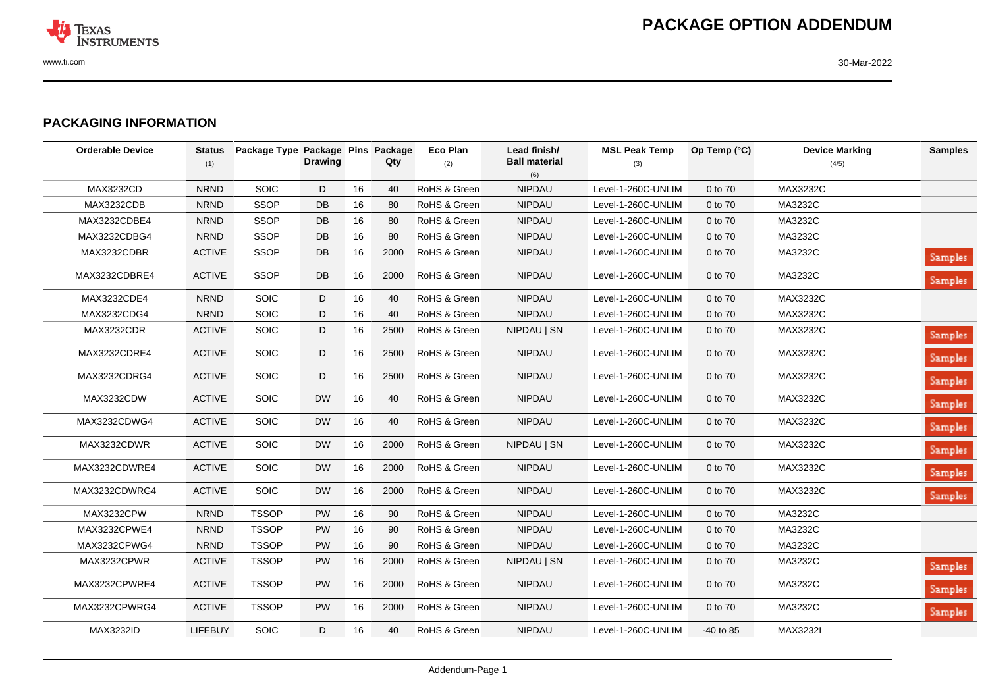

## **PACKAGING INFORMATION**

| <b>Orderable Device</b> | <b>Status</b><br>(1) | Package Type Package Pins Package | <b>Drawing</b> |    | Qty  | <b>Eco Plan</b><br>(2) | Lead finish/<br><b>Ball material</b> | <b>MSL Peak Temp</b><br>(3) | Op Temp (°C) | <b>Device Marking</b><br>(4/5) | <b>Samples</b> |
|-------------------------|----------------------|-----------------------------------|----------------|----|------|------------------------|--------------------------------------|-----------------------------|--------------|--------------------------------|----------------|
|                         |                      |                                   |                |    |      |                        | (6)                                  |                             |              |                                |                |
| <b>MAX3232CD</b>        | <b>NRND</b>          | SOIC                              | D              | 16 | 40   | RoHS & Green           | NIPDAU                               | Level-1-260C-UNLIM          | 0 to 70      | MAX3232C                       |                |
| MAX3232CDB              | <b>NRND</b>          | <b>SSOP</b>                       | DB             | 16 | 80   | RoHS & Green           | <b>NIPDAU</b>                        | Level-1-260C-UNLIM          | 0 to 70      | MA3232C                        |                |
| MAX3232CDBE4            | <b>NRND</b>          | <b>SSOP</b>                       | DB             | 16 | 80   | RoHS & Green           | NIPDAU                               | Level-1-260C-UNLIM          | 0 to 70      | MA3232C                        |                |
| MAX3232CDBG4            | <b>NRND</b>          | <b>SSOP</b>                       | DB             | 16 | 80   | RoHS & Green           | <b>NIPDAU</b>                        | Level-1-260C-UNLIM          | 0 to 70      | MA3232C                        |                |
| MAX3232CDBR             | <b>ACTIVE</b>        | <b>SSOP</b>                       | DB             | 16 | 2000 | RoHS & Green           | <b>NIPDAU</b>                        | Level-1-260C-UNLIM          | 0 to 70      | MA3232C                        | Samples        |
| MAX3232CDBRE4           | <b>ACTIVE</b>        | <b>SSOP</b>                       | DB             | 16 | 2000 | RoHS & Green           | <b>NIPDAU</b>                        | Level-1-260C-UNLIM          | 0 to 70      | MA3232C                        | <b>Samples</b> |
| MAX3232CDE4             | <b>NRND</b>          | <b>SOIC</b>                       | D              | 16 | 40   | RoHS & Green           | <b>NIPDAU</b>                        | Level-1-260C-UNLIM          | 0 to 70      | MAX3232C                       |                |
| MAX3232CDG4             | <b>NRND</b>          | SOIC                              | D              | 16 | 40   | RoHS & Green           | NIPDAU                               | Level-1-260C-UNLIM          | 0 to 70      | MAX3232C                       |                |
| MAX3232CDR              | <b>ACTIVE</b>        | <b>SOIC</b>                       | D              | 16 | 2500 | RoHS & Green           | NIPDAU   SN                          | Level-1-260C-UNLIM          | 0 to 70      | MAX3232C                       | Samples        |
| MAX3232CDRE4            | <b>ACTIVE</b>        | <b>SOIC</b>                       | D              | 16 | 2500 | RoHS & Green           | <b>NIPDAU</b>                        | Level-1-260C-UNLIM          | 0 to 70      | MAX3232C                       | <b>Samples</b> |
| MAX3232CDRG4            | <b>ACTIVE</b>        | <b>SOIC</b>                       | D              | 16 | 2500 | RoHS & Green           | <b>NIPDAU</b>                        | Level-1-260C-UNLIM          | 0 to 70      | MAX3232C                       | Samples        |
| MAX3232CDW              | <b>ACTIVE</b>        | <b>SOIC</b>                       | <b>DW</b>      | 16 | 40   | RoHS & Green           | <b>NIPDAU</b>                        | Level-1-260C-UNLIM          | 0 to 70      | MAX3232C                       | Samples        |
| MAX3232CDWG4            | <b>ACTIVE</b>        | <b>SOIC</b>                       | <b>DW</b>      | 16 | 40   | RoHS & Green           | <b>NIPDAU</b>                        | Level-1-260C-UNLIM          | 0 to 70      | MAX3232C                       | Samples        |
| MAX3232CDWR             | <b>ACTIVE</b>        | <b>SOIC</b>                       | <b>DW</b>      | 16 | 2000 | RoHS & Green           | NIPDAU   SN                          | Level-1-260C-UNLIM          | 0 to 70      | MAX3232C                       | <b>Samples</b> |
| MAX3232CDWRE4           | <b>ACTIVE</b>        | <b>SOIC</b>                       | <b>DW</b>      | 16 | 2000 | RoHS & Green           | <b>NIPDAU</b>                        | Level-1-260C-UNLIM          | 0 to 70      | MAX3232C                       | Samples        |
| MAX3232CDWRG4           | <b>ACTIVE</b>        | <b>SOIC</b>                       | <b>DW</b>      | 16 | 2000 | RoHS & Green           | <b>NIPDAU</b>                        | Level-1-260C-UNLIM          | 0 to 70      | MAX3232C                       | Samples        |
| MAX3232CPW              | <b>NRND</b>          | <b>TSSOP</b>                      | <b>PW</b>      | 16 | 90   | RoHS & Green           | <b>NIPDAU</b>                        | Level-1-260C-UNLIM          | 0 to 70      | MA3232C                        |                |
| MAX3232CPWE4            | <b>NRND</b>          | <b>TSSOP</b>                      | <b>PW</b>      | 16 | 90   | RoHS & Green           | <b>NIPDAU</b>                        | Level-1-260C-UNLIM          | 0 to 70      | MA3232C                        |                |
| MAX3232CPWG4            | <b>NRND</b>          | <b>TSSOP</b>                      | <b>PW</b>      | 16 | 90   | RoHS & Green           | <b>NIPDAU</b>                        | Level-1-260C-UNLIM          | 0 to 70      | MA3232C                        |                |
| MAX3232CPWR             | <b>ACTIVE</b>        | <b>TSSOP</b>                      | <b>PW</b>      | 16 | 2000 | RoHS & Green           | NIPDAU   SN                          | Level-1-260C-UNLIM          | 0 to 70      | MA3232C                        | Samples        |
| MAX3232CPWRE4           | <b>ACTIVE</b>        | <b>TSSOP</b>                      | <b>PW</b>      | 16 | 2000 | RoHS & Green           | <b>NIPDAU</b>                        | Level-1-260C-UNLIM          | 0 to 70      | MA3232C                        | <b>Samples</b> |
| MAX3232CPWRG4           | <b>ACTIVE</b>        | <b>TSSOP</b>                      | <b>PW</b>      | 16 | 2000 | RoHS & Green           | <b>NIPDAU</b>                        | Level-1-260C-UNLIM          | 0 to 70      | MA3232C                        | <b>Samples</b> |
| MAX3232ID               | LIFEBUY              | SOIC                              | D              | 16 | 40   | RoHS & Green           | <b>NIPDAU</b>                        | Level-1-260C-UNLIM          | -40 to 85    | MAX3232I                       |                |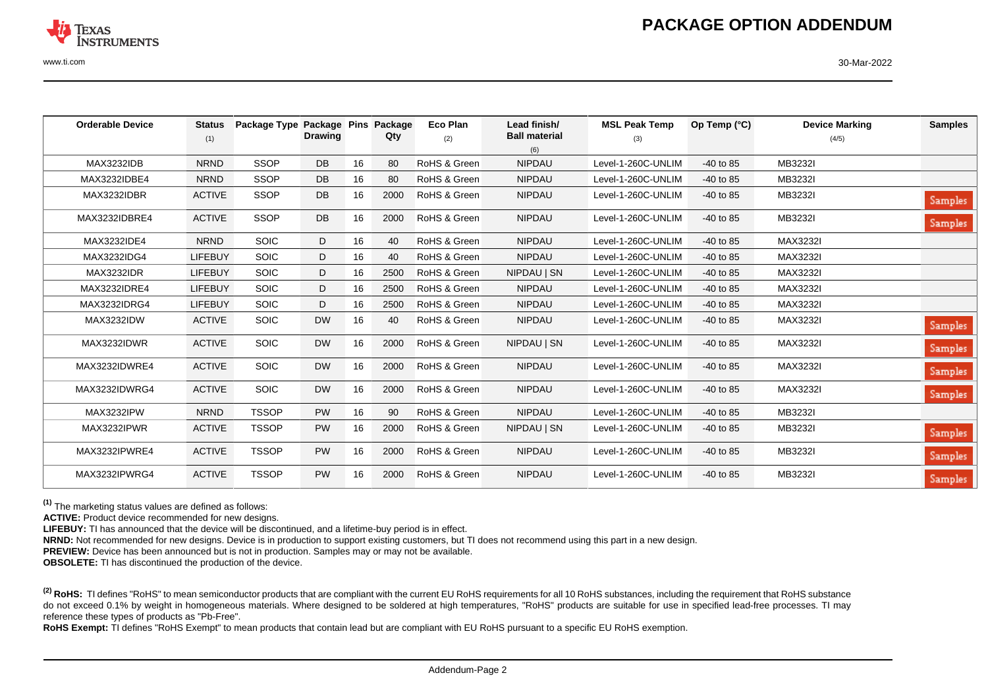

www.ti.com 30-Mar-2022

| <b>Orderable Device</b> | <b>Status</b>  | Package Type Package Pins |                |    | Package | <b>Eco Plan</b> | Lead finish/         | <b>MSL Peak Temp</b> | Op Temp $(°C)$ | <b>Device Marking</b> | <b>Samples</b> |
|-------------------------|----------------|---------------------------|----------------|----|---------|-----------------|----------------------|----------------------|----------------|-----------------------|----------------|
|                         | (1)            |                           | <b>Drawing</b> |    | Qty     | (2)             | <b>Ball material</b> | (3)                  |                | (4/5)                 |                |
|                         |                |                           |                |    |         |                 | (6)                  |                      |                |                       |                |
| <b>MAX3232IDB</b>       | <b>NRND</b>    | <b>SSOP</b>               | <b>DB</b>      | 16 | 80      | RoHS & Green    | <b>NIPDAU</b>        | Level-1-260C-UNLIM   | $-40$ to 85    | MB3232I               |                |
| MAX3232IDBE4            | <b>NRND</b>    | <b>SSOP</b>               | DB             | 16 | 80      | RoHS & Green    | <b>NIPDAU</b>        | Level-1-260C-UNLIM   | $-40$ to 85    | MB3232I               |                |
| MAX3232IDBR             | <b>ACTIVE</b>  | <b>SSOP</b>               | DB             | 16 | 2000    | RoHS & Green    | <b>NIPDAU</b>        | Level-1-260C-UNLIM   | $-40$ to 85    | MB3232I               | Samples        |
| MAX3232IDBRE4           | <b>ACTIVE</b>  | <b>SSOP</b>               | DB             | 16 | 2000    | RoHS & Green    | <b>NIPDAU</b>        | Level-1-260C-UNLIM   | $-40$ to 85    | MB3232I               | <b>Samples</b> |
| MAX3232IDE4             | <b>NRND</b>    | <b>SOIC</b>               | D              | 16 | 40      | RoHS & Green    | <b>NIPDAU</b>        | Level-1-260C-UNLIM   | $-40$ to 85    | MAX3232I              |                |
| MAX3232IDG4             | <b>LIFEBUY</b> | SOIC                      | D              | 16 | 40      | RoHS & Green    | <b>NIPDAU</b>        | Level-1-260C-UNLIM   | $-40$ to 85    | MAX3232I              |                |
| <b>MAX3232IDR</b>       | LIFEBUY        | <b>SOIC</b>               | D              | 16 | 2500    | RoHS & Green    | NIPDAU   SN          | Level-1-260C-UNLIM   | $-40$ to 85    | MAX3232I              |                |
| MAX3232IDRE4            | <b>LIFEBUY</b> | SOIC                      | D              | 16 | 2500    | RoHS & Green    | <b>NIPDAU</b>        | Level-1-260C-UNLIM   | $-40$ to 85    | MAX3232I              |                |
| MAX3232IDRG4            | <b>LIFEBUY</b> | <b>SOIC</b>               | D              | 16 | 2500    | RoHS & Green    | <b>NIPDAU</b>        | Level-1-260C-UNLIM   | $-40$ to 85    | MAX3232I              |                |
| <b>MAX3232IDW</b>       | <b>ACTIVE</b>  | <b>SOIC</b>               | <b>DW</b>      | 16 | 40      | RoHS & Green    | <b>NIPDAU</b>        | Level-1-260C-UNLIM   | $-40$ to 85    | MAX3232I              | <b>Samples</b> |
| MAX3232IDWR             | <b>ACTIVE</b>  | SOIC                      | <b>DW</b>      | 16 | 2000    | RoHS & Green    | NIPDAU   SN          | Level-1-260C-UNLIM   | $-40$ to 85    | MAX3232I              | <b>Samples</b> |
| MAX3232IDWRE4           | <b>ACTIVE</b>  | <b>SOIC</b>               | <b>DW</b>      | 16 | 2000    | RoHS & Green    | <b>NIPDAU</b>        | Level-1-260C-UNLIM   | $-40$ to 85    | MAX3232I              | Samples        |
| MAX3232IDWRG4           | <b>ACTIVE</b>  | <b>SOIC</b>               | <b>DW</b>      | 16 | 2000    | RoHS & Green    | <b>NIPDAU</b>        | Level-1-260C-UNLIM   | $-40$ to 85    | MAX3232I              | Samples        |
| <b>MAX3232IPW</b>       | <b>NRND</b>    | <b>TSSOP</b>              | PW             | 16 | 90      | RoHS & Green    | <b>NIPDAU</b>        | Level-1-260C-UNLIM   | $-40$ to 85    | MB3232I               |                |
| MAX3232IPWR             | <b>ACTIVE</b>  | <b>TSSOP</b>              | <b>PW</b>      | 16 | 2000    | RoHS & Green    | NIPDAU   SN          | Level-1-260C-UNLIM   | $-40$ to 85    | MB3232I               | <b>Samples</b> |
| MAX3232IPWRE4           | <b>ACTIVE</b>  | <b>TSSOP</b>              | <b>PW</b>      | 16 | 2000    | RoHS & Green    | <b>NIPDAU</b>        | Level-1-260C-UNLIM   | $-40$ to 85    | MB3232I               | <b>Samples</b> |
| MAX3232IPWRG4           | <b>ACTIVE</b>  | <b>TSSOP</b>              | <b>PW</b>      | 16 | 2000    | RoHS & Green    | <b>NIPDAU</b>        | Level-1-260C-UNLIM   | $-40$ to 85    | MB3232I               | <b>Samples</b> |

**(1)** The marketing status values are defined as follows:

**ACTIVE:** Product device recommended for new designs.

**LIFEBUY:** TI has announced that the device will be discontinued, and a lifetime-buy period is in effect.

**NRND:** Not recommended for new designs. Device is in production to support existing customers, but TI does not recommend using this part in a new design.

**PREVIEW:** Device has been announced but is not in production. Samples may or may not be available.

**OBSOLETE:** TI has discontinued the production of the device.

<sup>(2)</sup> RoHS: TI defines "RoHS" to mean semiconductor products that are compliant with the current EU RoHS requirements for all 10 RoHS substances, including the requirement that RoHS substance do not exceed 0.1% by weight in homogeneous materials. Where designed to be soldered at high temperatures, "RoHS" products are suitable for use in specified lead-free processes. TI may reference these types of products as "Pb-Free".

**RoHS Exempt:** TI defines "RoHS Exempt" to mean products that contain lead but are compliant with EU RoHS pursuant to a specific EU RoHS exemption.